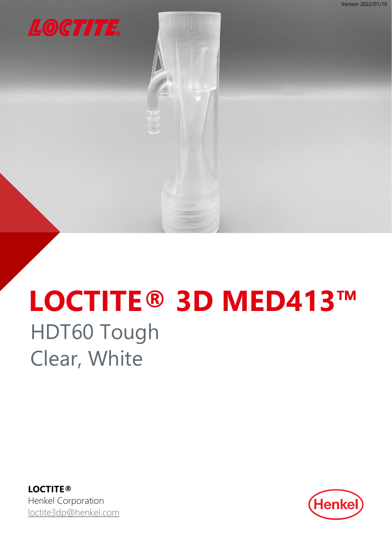<span id="page-0-0"></span>

# **LOCTITE® 3D MED413™** HDT60 Tough Clear, White

**LOCTITE®** Henkel Corporation [loctite3dp@henkel.com](mailto:loctite3dp@henkel.com)

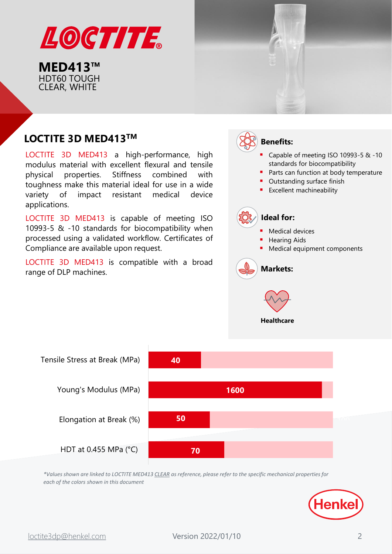

# **LOCTITE 3D MED413<sup>™</sup> and <b>Benefits:**  $\left(\frac{1}{2}\right)$  Benefits:

LOCTITE 3D MED413 a high-performance, high modulus material with excellent flexural and tensile physical properties. Stiffness combined with toughness make this material ideal for use in a wide variety of impact resistant medical device applications.

LOCTITE 3D MED413 is capable of meeting ISO 10993-5 & -10 standards for biocompatibility when processed using a validated workflow. Certificates of Compliance are available upon request.

LOCTITE 3D MED413 is compatible with a broad range of DLP machines.





*\*Values shown are linked to LOCTITE MED413 CLEAR as reference, please refer to the specific mechanical properties for each of the colors shown in this document*

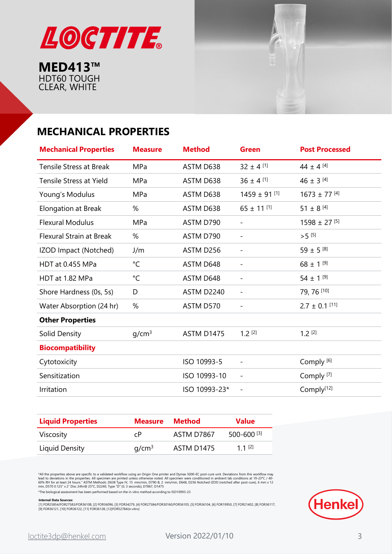



# **MECHANICAL PROPERTIES**

| <b>Mechanical Properties</b>    | <b>Measure</b>    | <b>Method</b>     | <b>Green</b>                 | <b>Post Processed</b>        |
|---------------------------------|-------------------|-------------------|------------------------------|------------------------------|
| <b>Tensile Stress at Break</b>  | MPa               | ASTM D638         | $32 \pm 4$ [1]               | 44 ± 4 [4]                   |
| <b>Tensile Stress at Yield</b>  | MPa               | ASTM D638         | $36 \pm 4$ [1]               | 46 ± 3 $^{[4]}$              |
| Young's Modulus                 | MPa               | ASTM D638         | $1459 \pm 91$ [1]            | $1673 \pm 77$ [4]            |
| Elongation at Break             | %                 | ASTM D638         | $65 \pm 11^{[1]}$            | 51 ± 8 $[4]$                 |
| <b>Flexural Modulus</b>         | MPa               | ASTM D790         | $\overline{\phantom{a}}$     | $1598 \pm 27$ <sup>[5]</sup> |
| <b>Flexural Strain at Break</b> | %                 | ASTM D790         | $\overline{\phantom{a}}$     | $>5^{[5]}$                   |
| IZOD Impact (Notched)           | J/m               | ASTM D256         | $\qquad \qquad \blacksquare$ | 59 ± 5 $^{[8]}$              |
| HDT at 0.455 MPa                | $^{\circ}$ C      | ASTM D648         | $\overline{\phantom{0}}$     | $68 \pm 1^{[9]}$             |
| HDT at 1.82 MPa                 | $^{\circ}C$       | ASTM D648         |                              | $54 \pm 1^{[9]}$             |
| Shore Hardness (0s, 5s)         | D                 | ASTM D2240        | $\overline{\phantom{a}}$     | 79, 76 [10]                  |
| Water Absorption (24 hr)        | %                 | ASTM D570         | $\overline{\phantom{a}}$     | $2.7 \pm 0.1$ [11]           |
| <b>Other Properties</b>         |                   |                   |                              |                              |
| Solid Density                   | q/cm <sup>3</sup> | <b>ASTM D1475</b> | $1.2$ [2]                    | $1.2$ [2]                    |
| <b>Biocompatibility</b>         |                   |                   |                              |                              |
| Cytotoxicity                    |                   | ISO 10993-5       | $\overline{\phantom{a}}$     | Comply <sup>[6]</sup>        |
| Sensitization                   |                   | ISO 10993-10      | $\overline{\phantom{a}}$     | Comply <sup>[7]</sup>        |
| Irritation                      |                   | ISO 10993-23*     | $\overline{\phantom{a}}$     | Comply <sup>[12]</sup>       |

| <b>Liquid Properties</b> | <b>Measure</b>    | <b>Method</b> | <b>Value</b>    |
|--------------------------|-------------------|---------------|-----------------|
| Viscosity                | сP                | ASTM D7867    | $500 - 600$ [3] |
| Liquid Density           | q/cm <sup>3</sup> | ASTM D1475    | 1 1 $[2]$       |

\*All the properties above are specific to a validated workflow using an Origin One printer and Dymax 5000-EC post-cure unit. Deviations from this workflow may<br>lead to deviations in the properties. All specimen are printed

\*The biological assessment has been performed based on the in vitro method according to ISO10993-23

**Internal Data Sources:**<br>[1] FOR25854/FOR27583/FOR36108, [2] FOR36096, [3] FOR34279, [4] FOR27584/FOR30160/FOR36105, [5] FOR36104, [6] FOR19950, [7] FOR21402, [8] FOR36117, [9] FOR36121, [10] FOR36122, [11] FOR36128, [12]FOR52784(in vitro)

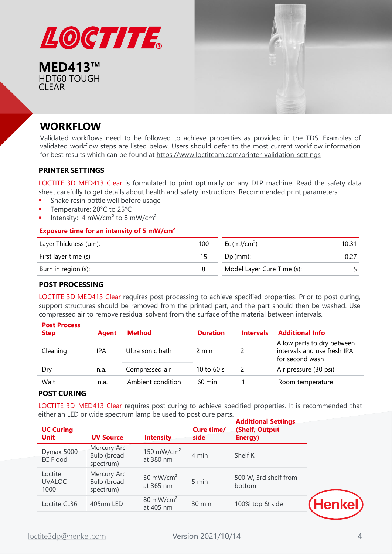

**MED413™** HDT60 TOUGH CLEAR



# **WORKFLOW**

Validated workflows need to be followed to achieve properties as provided in the TDS. Examples of validated workflow steps are listed below. Users should defer to the most current workflow information for best results which can be found at <https://www.loctiteam.com/printer-validation-settings>

#### **PRINTER SETTINGS**

LOCTITE 3D MED413 Clear is formulated to print optimally on any DLP machine. Read the safety data sheet carefully to get details about health and safety instructions. Recommended print parameters:

- **•** Shake resin bottle well before usage
- Temperature: 20°C to 25°C
- **·** Intensity:  $4 \text{ mW/cm}^2$  to 8 mW/cm<sup>2</sup>

#### **Exposure time for an intensity of 5 mW/cm²**

| Layer Thickness (µm): | 100 | Ec (mJ/cm <sup>2</sup> )   | 10.31 |
|-----------------------|-----|----------------------------|-------|
| First layer time (s)  | 15  | $Dp$ (mm):                 |       |
| Burn in region (s):   |     | Model Layer Cure Time (s): |       |

#### **POST PROCESSING**

LOCTITE 3D MED413 Clear requires post processing to achieve specified properties. Prior to post curing, support structures should be removed from the printed part, and the part should then be washed. Use compressed air to remove residual solvent from the surface of the material between intervals.

| <b>Post Process</b><br><b>Step</b> | <b>Agent</b> | <b>Method</b>     | <b>Duration</b>  | <b>Intervals</b> | <b>Additional Info</b>                                                       |
|------------------------------------|--------------|-------------------|------------------|------------------|------------------------------------------------------------------------------|
| Cleaning                           | IPA          | Ultra sonic bath  | 2 min            |                  | Allow parts to dry between<br>intervals and use fresh IPA<br>for second wash |
| Dry                                | n.a.         | Compressed air    | 10 to 60 s       | $\frac{1}{2}$    | Air pressure (30 psi)                                                        |
| Wait                               | n.a.         | Ambient condition | $60 \text{ min}$ |                  | Room temperature                                                             |

#### **POST CURING**

LOCTITE 3D MED413 Clear requires post curing to achieve specified properties. It is recommended that either an LED or wide spectrum lamp be used to post cure parts.

| <b>UC Curing</b><br><b>Unit</b>  | <b>UV Source</b>                        | <b>Intensity</b>                    | Cure time/<br>side | <b>Additional Settings</b><br>(Shelf, Output<br>Energy) |
|----------------------------------|-----------------------------------------|-------------------------------------|--------------------|---------------------------------------------------------|
| Dymax 5000<br><b>EC Flood</b>    | Mercury Arc<br>Bulb (broad<br>spectrum) | 150 mW/cm <sup>2</sup><br>at 380 nm | 4 min              | Shelf K                                                 |
| Loctite<br><b>UVALOC</b><br>1000 | Mercury Arc<br>Bulb (broad<br>spectrum) | 30 $mW/cm2$<br>at 365 nm            | 5 min              | 500 W, 3rd shelf from<br>bottom                         |
| Loctite CL36                     | 405nm LED                               | 80 mW/cm <sup>2</sup><br>at 405 nm  | 30 min             | 100% top & side                                         |

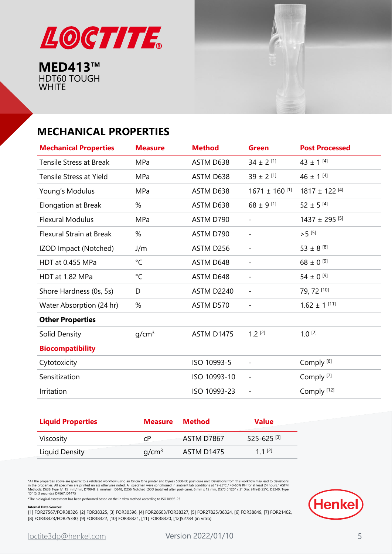



# **MECHANICAL PROPERTIES**

| <b>Mechanical Properties</b>    | <b>Measure</b>    | <b>Method</b>     | <b>Green</b>             | <b>Post Processed</b>         |
|---------------------------------|-------------------|-------------------|--------------------------|-------------------------------|
| <b>Tensile Stress at Break</b>  | MPa               | ASTM D638         | $34 \pm 2$ [1]           | 43 ± 1 $[4]$                  |
| Tensile Stress at Yield         | MPa               | ASTM D638         | $39 \pm 2$ [1]           | 46 ± 1 $[4]$                  |
| Young's Modulus                 | MPa               | ASTM D638         | $1671 \pm 160$ [1]       | $1817 \pm 122$ [4]            |
| Elongation at Break             | %                 | ASTM D638         | $68 \pm 9$ [1]           | $52 \pm 5$ [4]                |
| <b>Flexural Modulus</b>         | MPa               | ASTM D790         | $\overline{\phantom{a}}$ | $1437 \pm 295$ <sup>[5]</sup> |
| <b>Flexural Strain at Break</b> | %                 | ASTM D790         | $\overline{\phantom{0}}$ | $>$ 5 $[5]$                   |
| IZOD Impact (Notched)           | J/m               | ASTM D256         | $\overline{\phantom{a}}$ | 53 ± 8 $^{[8]}$               |
| HDT at 0.455 MPa                | $^{\circ}$ C      | ASTM D648         | $\overline{\phantom{a}}$ | 68 ± $0^{9}$                  |
| HDT at 1.82 MPa                 | $^{\circ}$ C      | ASTM D648         | $\qquad \qquad -$        | 54 ± $0^{9}$                  |
| Shore Hardness (0s, 5s)         | D                 | ASTM D2240        | $\qquad \qquad -$        | 79, 72 [10]                   |
| Water Absorption (24 hr)        | %                 | ASTM D570         | $\overline{\phantom{a}}$ | $1.62 \pm 1$ [11]             |
| <b>Other Properties</b>         |                   |                   |                          |                               |
| Solid Density                   | g/cm <sup>3</sup> | <b>ASTM D1475</b> | $1.2$ [2]                | $1.0^{[2]}$                   |
| <b>Biocompatibility</b>         |                   |                   |                          |                               |
| Cytotoxicity                    |                   | ISO 10993-5       | $\qquad \qquad -$        | Comply <sup>[6]</sup>         |
| Sensitization                   |                   | ISO 10993-10      | $\qquad \qquad -$        | Comply <sup>[7]</sup>         |
| Irritation                      |                   | ISO 10993-23      | $\qquad \qquad -$        | Comply <sup>[12]</sup>        |

| <b>Liquid Properties</b> | <b>Measure</b>    | Method     | <b>Value</b>               |
|--------------------------|-------------------|------------|----------------------------|
| Viscosity                | сP                | ASTM D7867 | $525 - 625$ <sup>[3]</sup> |
| Liquid Density           | q/cm <sup>3</sup> | ASTM D1475 | $11^{2}$                   |

\*All the properties above are specific to a validated workflow using an Origin One printer and Dymax 5000-EC post-cure unit. Deviations from this workflow may lead to deviations<br>In the properties. All specimen are printed

\*The biological assessment has been performed based on the in vitro method according to ISO10993-23

#### **Internal Data Sources:**

[1] FOR27567/FOR38326, [2] FOR38325, [3] FOR30596, [4] FOR28603/FOR38327, [5] FOR27825/38324, [6] FOR38849, [7] FOR21402, [8] FOR38323/FOR25330, [9] FOR38322, [10] FOR38321, [11] FOR38320, [12]52784 (in vitro)

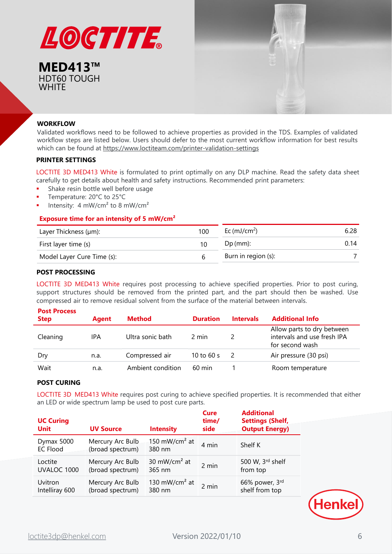



#### **WORKFLOW**

Validated workflows need to be followed to achieve properties as provided in the TDS. Examples of validated workflow steps are listed below. Users should defer to the most current workflow information for best results which can be found at <https://www.loctiteam.com/printer-validation-settings>

#### **PRINTER SETTINGS**

LOCTITE 3D MED413 White is formulated to print optimally on any DLP machine. Read the safety data sheet carefully to get details about health and safety instructions. Recommended print parameters:

- **EXEC** Shake resin bottle well before usage
- Temperature: 20°C to 25°C
- Intensity:  $4 \text{ mW/cm}^2$  to 8 mW/cm<sup>2</sup>

#### **Exposure time for an intensity of 5 mW/cm²**

| Layer Thickness (µm):      | 100 | Ec $(mJ/cm2)$       | 6.28 |
|----------------------------|-----|---------------------|------|
| First layer time (s)       | 10  | $Dp$ (mm):          | 0.14 |
| Model Layer Cure Time (s): | h   | Burn in region (s): |      |

#### **POST PROCESSING**

LOCTITE 3D MED413 White requires post processing to achieve specified properties. Prior to post curing, support structures should be removed from the printed part, and the part should then be washed. Use compressed air to remove residual solvent from the surface of the material between intervals.

| <b>Post Process</b><br><b>Step</b> | <b>Agent</b> | Method            | <b>Duration</b>  | <b>Intervals</b> | <b>Additional Info</b>                                                       |
|------------------------------------|--------------|-------------------|------------------|------------------|------------------------------------------------------------------------------|
| Cleaning                           | IPA          | Ultra sonic bath  | 2 min            |                  | Allow parts to dry between<br>intervals and use fresh IPA<br>for second wash |
| Dry                                | n.a.         | Compressed air    | 10 to 60 $s$     | $\mathcal{L}$    | Air pressure (30 psi)                                                        |
| Wait                               | n.a.         | Ambient condition | $60 \text{ min}$ |                  | Room temperature                                                             |

#### **POST CURING**

LOCTITE 3D MED413 White requires post curing to achieve specified properties. It is recommended that either an LED or wide spectrum lamp be used to post cure parts.

| <b>UC Curing</b><br><b>Unit</b> | <b>UV Source</b>                     | <b>Intensity</b>                    | <b>Cure</b><br>time/<br>side | <b>Additional</b><br><b>Settings (Shelf,</b><br><b>Output Energy)</b> |
|---------------------------------|--------------------------------------|-------------------------------------|------------------------------|-----------------------------------------------------------------------|
| Dymax 5000<br><b>EC Flood</b>   | Mercury Arc Bulb<br>(broad spectrum) | 150 mW/cm <sup>2</sup> at<br>380 nm | 4 min                        | Shelf K                                                               |
| Loctite                         | Mercury Arc Bulb                     | 30 mW/cm <sup>2</sup> at            | 2 min                        | 500 W, 3rd shelf                                                      |
| UVALOC 1000                     | (broad spectrum)                     | 365 nm                              |                              | from top                                                              |
| Uvitron                         | Mercury Arc Bulb                     | 130 mW/cm <sup>2</sup> at           | 2 min                        | 66% power, 3rd                                                        |
| Intelliray 600                  | (broad spectrum)                     | 380 nm                              |                              | shelf from top                                                        |

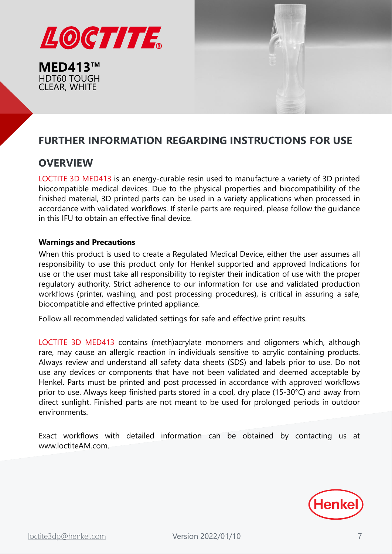



# **FURTHER INFORMATION REGARDING INSTRUCTIONS FOR USE**

# **OVERVIEW**

LOCTITE 3D MED413 is an energy-curable resin used to manufacture a variety of 3D printed biocompatible medical devices. Due to the physical properties and biocompatibility of the finished material, 3D printed parts can be used in a variety applications when processed in accordance with validated workflows. If sterile parts are required, please follow the guidance in this IFU to obtain an effective final device.

## **Warnings and Precautions**

When this product is used to create a Regulated Medical Device, either the user assumes all responsibility to use this product only for Henkel supported and approved Indications for use or the user must take all responsibility to register their indication of use with the proper regulatory authority. Strict adherence to our information for use and validated production workflows (printer, washing, and post processing procedures), is critical in assuring a safe, biocompatible and effective printed appliance.

Follow all recommended validated settings for safe and effective print results.

LOCTITE 3D MED413 contains (meth)acrylate monomers and oligomers which, although rare, may cause an allergic reaction in individuals sensitive to acrylic containing products. Always review and understand all safety data sheets (SDS) and labels prior to use. Do not use any devices or components that have not been validated and deemed acceptable by Henkel. Parts must be printed and post processed in accordance with approved workflows prior to use. Always keep finished parts stored in a cool, dry place (15-30°C) and away from direct sunlight. Finished parts are not meant to be used for prolonged periods in outdoor environments.

Exact workflows with detailed information can be obtained by contacting us at www.loctiteAM.com.

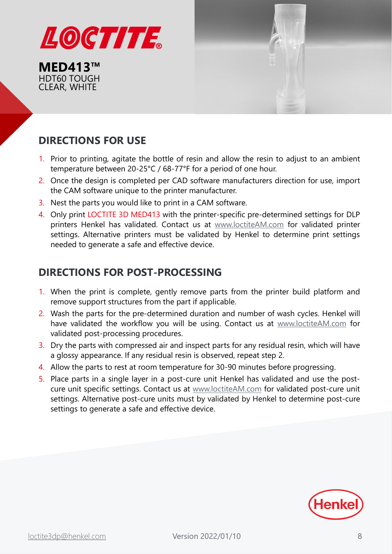



# **DIRECTIONS FOR USE**

- 1. Prior to printing, agitate the bottle of resin and allow the resin to adjust to an ambient temperature between 20-25°C / 68-77°F for a period of one hour.
- 2. Once the design is completed per CAD software manufacturers direction for use, import the CAM software unique to the printer manufacturer.
- 3. Nest the parts you would like to print in a CAM software.
- 4. Only print LOCTITE 3D MED413 with the printer-specific pre-determined settings for DLP printers Henkel has validated. Contact us at [www.loctiteAM.com](http://www.loctiteam.com/) for validated printer settings. Alternative printers must be validated by Henkel to determine print settings needed to generate a safe and effective device.

# **DIRECTIONS FOR POST-PROCESSING**

- 1. When the print is complete, gently remove parts from the printer build platform and remove support structures from the part if applicable.
- 2. Wash the parts for the pre-determined duration and number of wash cycles. Henkel will have validated the workflow you will be using. Contact us at [www.loctiteAM.com](http://www.loctiteam.com/) for validated post-processing procedures.
- 3. Dry the parts with compressed air and inspect parts for any residual resin, which will have a glossy appearance. If any residual resin is observed, repeat step 2.
- 4. Allow the parts to rest at room temperature for 30-90 minutes before progressing.
- 5. Place parts in a single layer in a post-cure unit Henkel has validated and use the postcure unit specific settings. Contact us at [www.loctiteAM.com](http://www.loctiteam.com/) for validated post-cure unit settings. Alternative post-cure units must by validated by Henkel to determine post-cure settings to generate a safe and effective device.

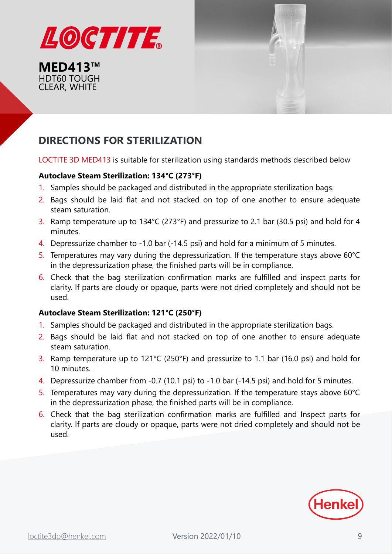



# **DIRECTIONS FOR STERILIZATION**

LOCTITE 3D MED413 is suitable for sterilization using standards methods described below

## **Autoclave Steam Sterilization: 134°C (273°F)**

- 1. Samples should be packaged and distributed in the appropriate sterilization bags.
- 2. Bags should be laid flat and not stacked on top of one another to ensure adequate steam saturation.
- 3. Ramp temperature up to 134°C (273°F) and pressurize to 2.1 bar (30.5 psi) and hold for 4 minutes.
- 4. Depressurize chamber to -1.0 bar (-14.5 psi) and hold for a minimum of 5 minutes.
- 5. Temperatures may vary during the depressurization. If the temperature stays above 60°C in the depressurization phase, the finished parts will be in compliance.
- 6. Check that the bag sterilization confirmation marks are fulfilled and inspect parts for clarity. If parts are cloudy or opaque, parts were not dried completely and should not be used.

## **Autoclave Steam Sterilization: 121°C (250°F)**

- 1. Samples should be packaged and distributed in the appropriate sterilization bags.
- 2. Bags should be laid flat and not stacked on top of one another to ensure adequate steam saturation.
- 3. Ramp temperature up to 121°C (250°F) and pressurize to 1.1 bar (16.0 psi) and hold for 10 minutes.
- 4. Depressurize chamber from -0.7 (10.1 psi) to -1.0 bar (-14.5 psi) and hold for 5 minutes.
- 5. Temperatures may vary during the depressurization. If the temperature stays above 60°C in the depressurization phase, the finished parts will be in compliance.
- 6. Check that the bag sterilization confirmation marks are fulfilled and Inspect parts for clarity. If parts are cloudy or opaque, parts were not dried completely and should not be used.

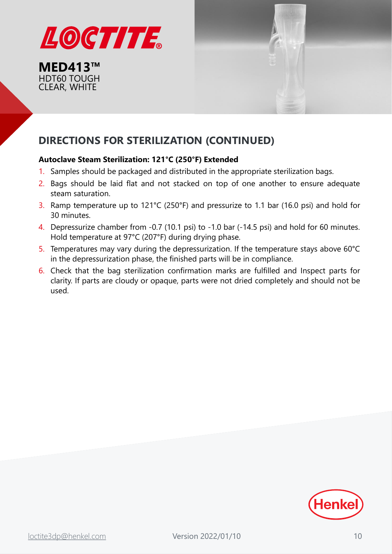



# **DIRECTIONS FOR STERILIZATION (CONTINUED)**

## **Autoclave Steam Sterilization: 121°C (250°F) Extended**

- 1. Samples should be packaged and distributed in the appropriate sterilization bags.
- 2. Bags should be laid flat and not stacked on top of one another to ensure adequate steam saturation.
- 3. Ramp temperature up to 121°C (250°F) and pressurize to 1.1 bar (16.0 psi) and hold for 30 minutes.
- 4. Depressurize chamber from -0.7 (10.1 psi) to -1.0 bar (-14.5 psi) and hold for 60 minutes. Hold temperature at 97°C (207°F) during drying phase.
- 5. Temperatures may vary during the depressurization. If the temperature stays above 60°C in the depressurization phase, the finished parts will be in compliance.
- 6. Check that the bag sterilization confirmation marks are fulfilled and Inspect parts for clarity. If parts are cloudy or opaque, parts were not dried completely and should not be used.

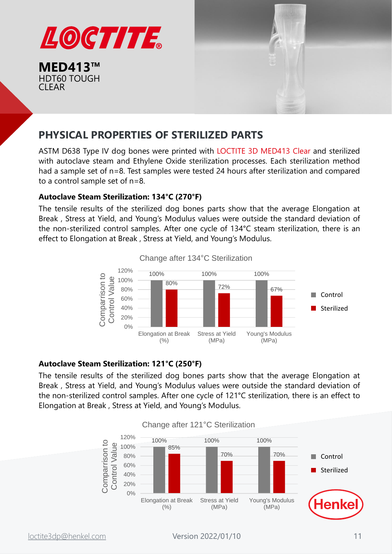

**MED413™** HDT60 TOUGH CLEAR



# **PHYSICAL PROPERTIES OF STERILIZED PARTS**

ASTM D638 Type IV dog bones were printed with LOCTITE 3D MED413 Clear and sterilized with autoclave steam and Ethylene Oxide sterilization processes. Each sterilization method had a sample set of n=8. Test samples were tested 24 hours after sterilization and compared to a control sample set of n=8.

#### **Autoclave Steam Sterilization: 134°C (270°F)**

The tensile results of the sterilized dog bones parts show that the average Elongation at Break , Stress at Yield, and Young's Modulus values were outside the standard deviation of the non-sterilized control samples. After one cycle of 134°C steam sterilization, there is an effect to Elongation at Break , Stress at Yield, and Young's Modulus.



Change after 134°C Sterilization

#### **Autoclave Steam Sterilization: 121°C (250°F)**

The tensile results of the sterilized dog bones parts show that the average Elongation at Break , Stress at Yield, and Young's Modulus values were outside the standard deviation of the non-sterilized control samples. After one cycle of 121°C sterilization, there is an effect to Elongation at Break , Stress at Yield, and Young's Modulus.



Change after 121°C Sterilization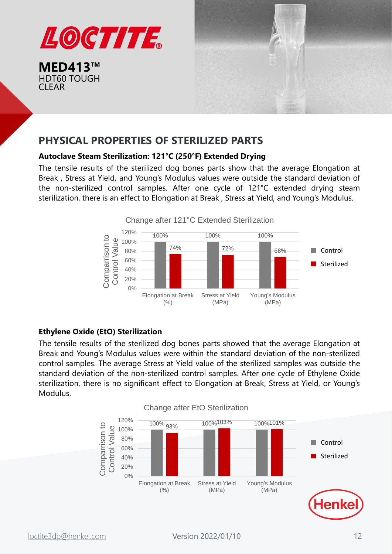

**MED413™** HDT60 TOUGH CLEAR



# **PHYSICAL PROPERTIES OF STERILIZED PARTS**

#### **Autoclave Steam Sterilization: 121°C (250°F) Extended Drying**

The tensile results of the sterilized dog bones parts show that the average Elongation at Break , Stress at Yield, and Young's Modulus values were outside the standard deviation of the non-sterilized control samples. After one cycle of 121°C extended drying steam sterilization, there is an effect to Elongation at Break , Stress at Yield, and Young's Modulus.



## **Ethylene Oxide (EtO) Sterilization**

The tensile results of the sterilized dog bones parts showed that the average Elongation at Break and Young's Modulus values were within the standard deviation of the non-sterilized control samples. The average Stress at Yield value of the sterilized samples was outside the standard deviation of the non-sterilized control samples. After one cycle of Ethylene Oxide sterilization, there is no significant effect to Elongation at Break, Stress at Yield, or Young's Modulus.

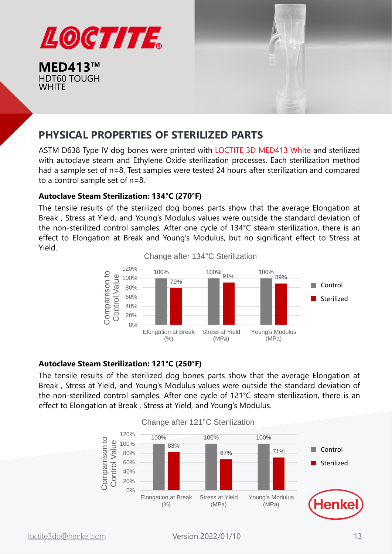



# **PHYSICAL PROPERTIES OF STERILIZED PARTS**

ASTM D638 Type IV dog bones were printed with LOCTITE 3D MED413 White and sterilized with autoclave steam and Ethylene Oxide sterilization processes. Each sterilization method had a sample set of n=8. Test samples were tested 24 hours after sterilization and compared to a control sample set of n=8.

## **Autoclave Steam Sterilization: 134°C (270°F)**

The tensile results of the sterilized dog bones parts show that the average Elongation at Break , Stress at Yield, and Young's Modulus values were outside the standard deviation of the non-sterilized control samples. After one cycle of 134°C steam sterilization, there is an effect to Elongation at Break and Young's Modulus, but no significant effect to Stress at Yield.





## **Autoclave Steam Sterilization: 121°C (250°F)**

The tensile results of the sterilized dog bones parts show that the average Elongation at Break , Stress at Yield, and Young's Modulus values were outside the standard deviation of the non-sterilized control samples. After one cycle of 121°C steam sterilization, there is an effect to Elongation at Break , Stress at Yield, and Young's Modulus.



#### Change after 121°C Sterilization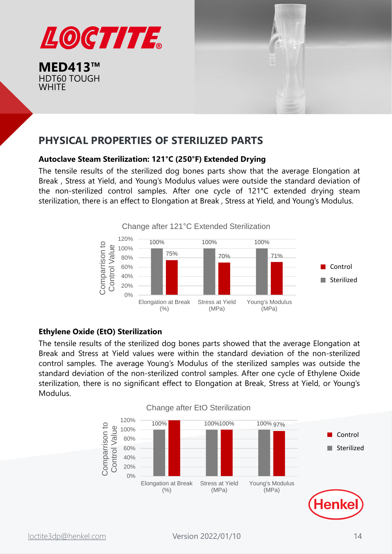



# **PHYSICAL PROPERTIES OF STERILIZED PARTS**

## **Autoclave Steam Sterilization: 121°C (250°F) Extended Drying**

The tensile results of the sterilized dog bones parts show that the average Elongation at Break , Stress at Yield, and Young's Modulus values were outside the standard deviation of the non-sterilized control samples. After one cycle of 121°C extended drying steam sterilization, there is an effect to Elongation at Break , Stress at Yield, and Young's Modulus.



## **Ethylene Oxide (EtO) Sterilization**

The tensile results of the sterilized dog bones parts showed that the average Elongation at Break and Stress at Yield values were within the standard deviation of the non-sterilized control samples. The average Young's Modulus of the sterilized samples was outside the standard deviation of the non-sterilized control samples. After one cycle of Ethylene Oxide sterilization, there is no significant effect to Elongation at Break, Stress at Yield, or Young's Modulus.

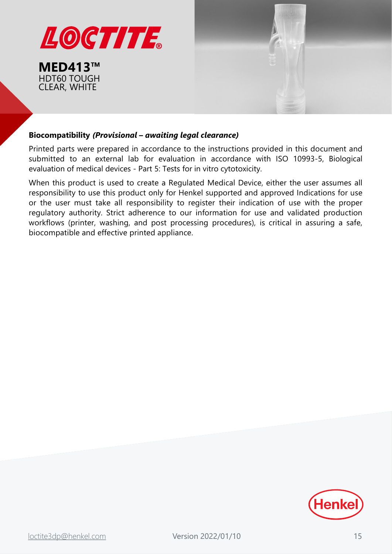



#### **Biocompatibility** *(Provisional – awaiting legal clearance)*

Printed parts were prepared in accordance to the instructions provided in this document and submitted to an external lab for evaluation in accordance with ISO 10993-5, Biological evaluation of medical devices - Part 5: Tests for in vitro cytotoxicity.

When this product is used to create a Regulated Medical Device, either the user assumes all responsibility to use this product only for Henkel supported and approved Indications for use or the user must take all responsibility to register their indication of use with the proper regulatory authority. Strict adherence to our information for use and validated production workflows (printer, washing, and post processing procedures), is critical in assuring a safe, biocompatible and effective printed appliance.